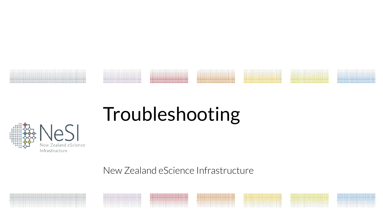

# Troubleshooting



New Zealand estate de la castructure de la castructure de la castructure de la castructure de la castructure<br>New Zealand estate de la castructure de la castructure de la castructure de la castructure de la castructure<br>New

New Zealand eScience Infrastructure

,,,,,,,,,,,,,,,,,,,,,,,,,,,,,,,,,,

,,,,,,,,,,,,,,,,,,,,,,,,,,,

,,,,,,,,,,,,,,,,,,,,,,,,,,,,,,,,,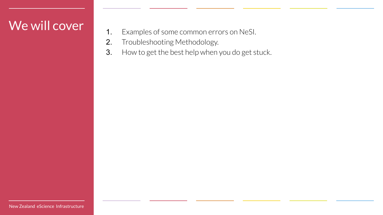### We will cover

- 1. Examples of some common errors on NeSI.
- 2. Troubleshooting Methodology.
- 3. How to get the best help when you do get stuck.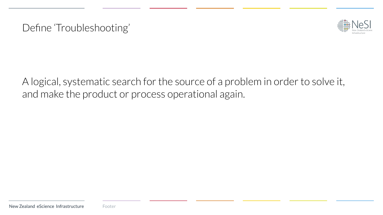Define 'Troubleshooting'



A logical, systematic search for the source of a problem in order to solve it, and make the product or process operational again.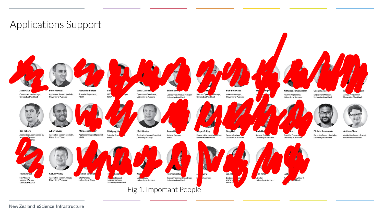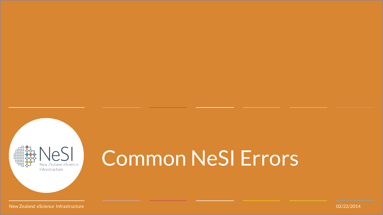

# Common NeSI Errors

New Zealand eScience Infrastructure 02/22/2014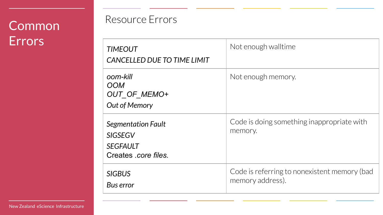## Common **Errors**

### Resource Errors

| <b>TIMEOUT</b><br>CANCELLED DUE TO TIME LIMIT                                          | Not enough walltime                                              |
|----------------------------------------------------------------------------------------|------------------------------------------------------------------|
| oom-kill<br><b>OOM</b><br>OUT_OF_MEMO+<br>Out of Memory                                | Not enough memory.                                               |
| <b>Segmentation Fault</b><br><b>SIGSEGV</b><br><b>SEGFAULT</b><br>Creates .core files. | Code is doing something inappropriate with<br>memory.            |
| <b>SIGBUS</b><br>Bus error                                                             | Code is referring to nonexistent memory (bad<br>memory address). |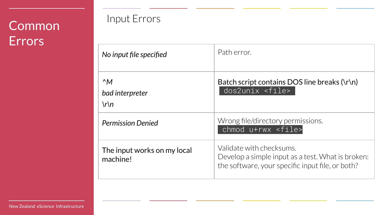## **Common Errors**

### Input Errors

| No input file specified                  | Path error.                                                                                                                       |
|------------------------------------------|-----------------------------------------------------------------------------------------------------------------------------------|
| $^{\wedge}M$<br>bad interpreter<br>$\ln$ | Batch script contains DOS line breaks $(\r \n\r$<br>$d$ os $2$ unix < $fil$ e>                                                    |
| <b>Permission Denied</b>                 | Wrong file/directory permissions.<br>chmod u+rwx <file></file>                                                                    |
| The input works on my local<br>machine!  | Validate with checksums.<br>Develop a simple input as a test. What is broken:<br>the software, your specific input file, or both? |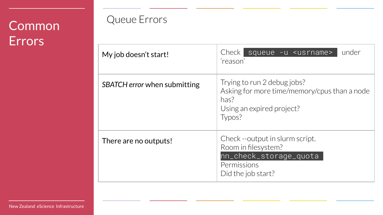## Common Errors

### Queue Errors

| My job doesn't start!        | under<br>Check  <br>squeue -u <usrname><br/>'reason'</usrname>                                                             |
|------------------------------|----------------------------------------------------------------------------------------------------------------------------|
| SBATCH error when submitting | Trying to run 2 debug jobs?<br>Asking for more time/memory/cpus than a node<br>has?<br>Using an expired project?<br>Typos? |
| There are no outputs!        | Check --output in slurm script.<br>Room in filesystem?<br>nn_check_storage_quota<br>Permissions<br>Did the job start?      |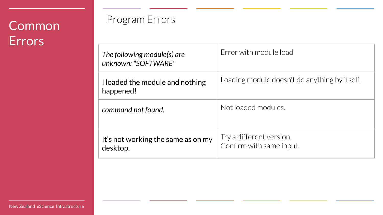## Common **Errors**

### Program Errors

| The following module(s) are<br>unknown: "SOFTWARE" | Error with module load                               |
|----------------------------------------------------|------------------------------------------------------|
| I loaded the module and nothing<br>happened!       | Loading module doesn't do anything by itself.        |
| command not found.                                 | Not loaded modules.                                  |
| It's not working the same as on my<br>desktop.     | Try a different version.<br>Confirm with same input. |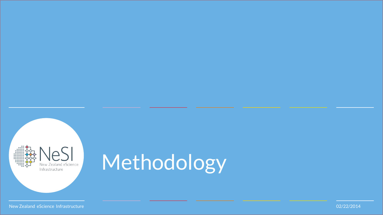

# Methodology

New Zealand eScience Infrastructure 02/22/2014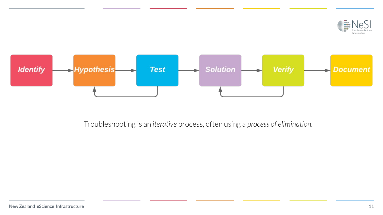



Troubleshooting is an *iterative* process, often using a *process of elimination.*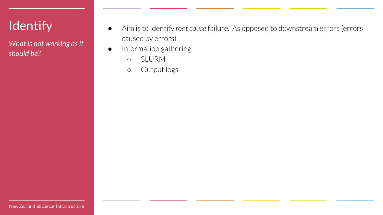## **Identify**

*What is not working as it should be?*

- Aim is to identify *root cause* failure. As opposed to downstream errors (errors caused by errors)
- Information gathering.
	- SLURM
	- Output logs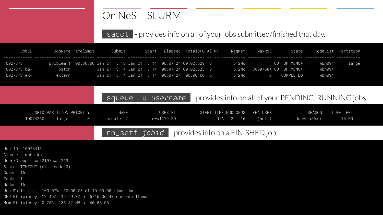### On NeSI - SLURM

#### sacct - provides info on all of your jobs submitted/finished that day.

| JobID        |        | JobName Timelimit                                                    | Submit |  | Start Elapsed TotalCPU Al NT | ReaMem | MaxRSS | State        |        | NodeList Partition |
|--------------|--------|----------------------------------------------------------------------|--------|--|------------------------------|--------|--------|--------------|--------|--------------------|
| 10027373     |        | problem_1  00:30:00 Jan 21 15:13 Jan 21 15:14  00:07:24 00:02.629  6 |        |  |                              | 512Mc  |        | OUT_OF_MEMO+ | wbn094 | large              |
| 10027373.ba+ | batch  |                                                                      |        |  |                              |        |        |              | wbn094 |                    |
| 10027373.ex+ | extern |                                                                      |        |  |                              | 512Mc  | Q.     | COMPI FTFD   | wbn094 |                    |

|          |                                   |     |                   | squeue -u username - provides info on all of your PENDING, RUNNING jobs. |                              |          |        |                       |                    |  |
|----------|-----------------------------------|-----|-------------------|--------------------------------------------------------------------------|------------------------------|----------|--------|-----------------------|--------------------|--|
| 10074260 | JOBID PARTITION PRIORITY<br>large | - 0 | NAMF<br>problem_2 | USER ST<br>cwal219 PD                                                    | START_TIME NOD CPUS FEATURES | N/A 2 16 | (null) | REASON<br>JobHeldUser | TIME LEFT<br>15:00 |  |
|          |                                   |     |                   |                                                                          |                              |          |        |                       |                    |  |

#### nn\_seff *jobid* - provides info on a FINISHED job.

| Job ID: 10078413                                            |
|-------------------------------------------------------------|
| Cluster: mahuika                                            |
| User/Group: cwal219/cwal219                                 |
| State: TIMEOUT (exit code 0)                                |
| Cores: 16                                                   |
| Tasks: 1                                                    |
| Nodes: 16                                                   |
| Job Wall-time: 100.07% 10:00:25 of 10:00:00 time limit      |
| CPU Efficiency: 12.49% 19:59:32 of 6-16:06:40 core-walltime |
| Mem Efficiency: 0.28% 135.82 MB of 46.88 GB                 |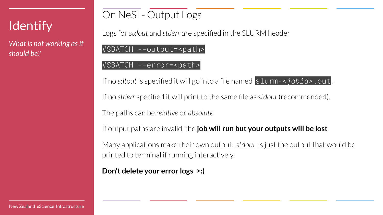## **Identify**

*What is not working as it should be?*

### On NeSI - Output Logs

Logs for *stdout* and *stderr* are specified in the SLURM header

#SBATCH --output=<path>

#### #SBATCH --error=<path>

If no *sdtout* is specified it will go into a file named slurm-<*jobid>*.out .

If no *stderr* specified it will print to the same file as *stdout* (recommended).

The paths can be *relative* or *absolute*.

If output paths are invalid, the **job will run but your outputs will be lost**.

Many applications make their own output. *stdout* is just the output that would be printed to terminal if running interactively.

**Don't delete your error logs >:(**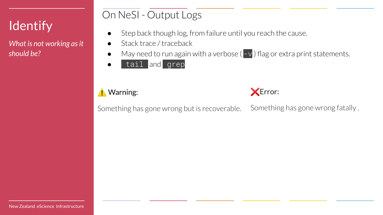## **Identify**

*What is not working as it should be?*

### On NeSI - Output Logs

- Step back though log, from failure until you reach the cause.
- Stack trace / traceback
- May need to run again with a verbose ( $-v$ ) flag or extra print statements.
- tail and grep

#### ⚠ Warning:



Something has gone wrong but is recoverable. Something has gone wrong fatally .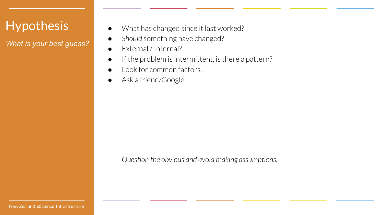### Hypothesis

*What is your best guess?*

- What has changed since it last worked?
- Should something have changed?
- External / Internal?
- If the problem is intermittent, is there a pattern?
- Look for common factors.
- Ask a friend/Google.

*Question the obvious and avoid making assumptions.*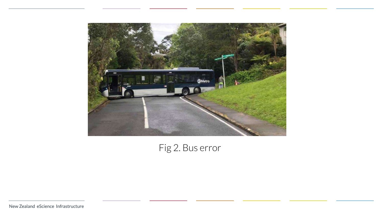

Fig 2. Bus error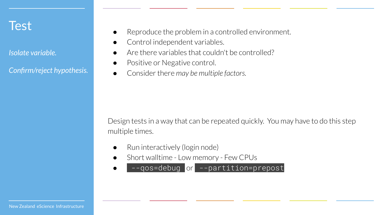### **Test**

*Isolate variable.* 

*Confirm/reject hypothesis.*

- Reproduce the problem in a controlled environment.
- Control independent variables.
- Are there variables that couldn't be controlled?
- Positive or Negative control.
- Consider there *may be multiple factors.*

Design tests in a way that can be repeated quickly. You may have to do this step multiple times.

- Run interactively (login node)
- Short walltime Low memory Few CPUs

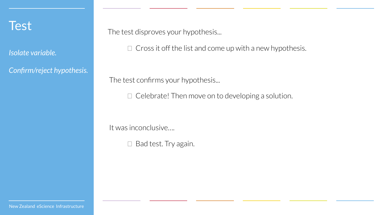

*Isolate variable.* 

*Confirm/reject hypothesis.*

The test disproves your hypothesis...

 $\Box$  Cross it off the list and come up with a new hypothesis.

The test confirms your hypothesis...

 $\Box$  Celebrate! Then move on to developing a solution.

It was inconclusive….

 $\Box$  Bad test. Try again.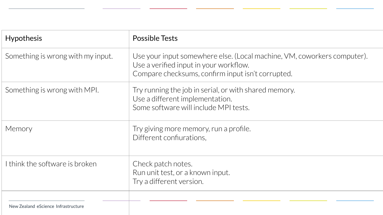| <b>Hypothesis</b>                   | <b>Possible Tests</b>                                                                                                                                                  |
|-------------------------------------|------------------------------------------------------------------------------------------------------------------------------------------------------------------------|
| Something is wrong with my input.   | Use your input somewhere else. (Local machine, VM, coworkers computer).<br>Use a verified input in your workflow.<br>Compare checksums, confirm input isn't corrupted. |
| Something is wrong with MPI.        | Try running the job in serial, or with shared memory.<br>Use a different implementation.<br>Some software will include MPI tests.                                      |
| Memory                              | Try giving more memory, run a profile.<br>Different confiurations,                                                                                                     |
| I think the software is broken      | Check patch notes.<br>Run unit test, or a known input.<br>Try a different version.                                                                                     |
| New Zealand eScience Infrastructure |                                                                                                                                                                        |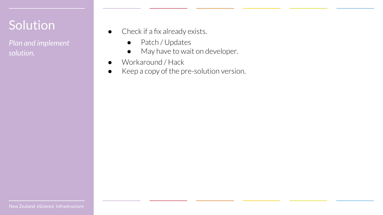## Solution

*Plan and implement solution.*

- Check if a fix already exists.
	- Patch / Updates
	- May have to wait on developer.
- Workaround / Hack
- Keep a copy of the pre-solution version.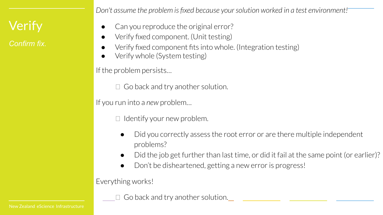## **Verify**

*Confirm fix.*

*Don't assume the problem is fixed because your solution worked in a test environment!*

- Can you reproduce the original error?
- Verify fixed component. (Unit testing)
- Verify fixed component fits into whole. (Integration testing)
- Verify whole (System testing)

If the problem persists…

 $\Box$  Go back and try another solution.

If you run into a *new* problem…

 $\Box$  Identify your new problem.

- Did you correctly assess the root error or are there multiple independent problems?
- Did the job get further than last time, or did it fail at the same point (or earlier)?
- Don't be disheartened, getting a new error is progress!

Everything works!

 $\Box$  Go back and try another solution.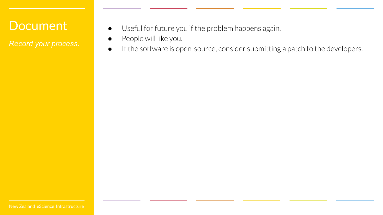### **Document**

*Record your process.*

- Useful for future you if the problem happens again.
- People will like you.
- If the software is open-source, consider submitting a patch to the developers.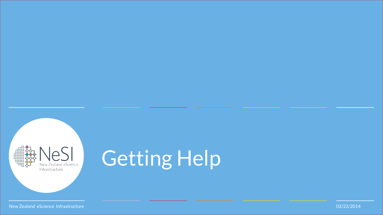

# Getting Help

New Zealand eScience Infrastructure 02/22/2014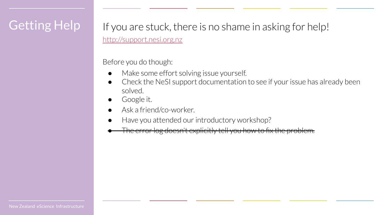### Getting Help

If you are stuck, there is no shame in asking for help! <http://support.nesi.org.nz>

Before you do though:

- Make some effort solving issue yourself.
- Check the NeSI support documentation to see if your issue has already been solved.
- Google it.
- Ask a friend/co-worker.
- Have you attended our introductory workshop?
- The error log doesn't explicitly tell you how to fix the problem.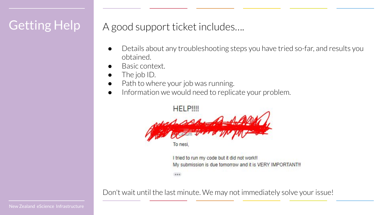### Getting Help

### A good support ticket includes….

- Details about any troubleshooting steps you have tried so-far, and results you obtained.
- Basic context.
- The job ID.
- Path to where your job was running.
- Information we would need to replicate your problem.

**HELP!!!!** 

To nes

I tried to run my code but it did not work!! My submission is due tomorrow and it is VERY IMPORTANT!!

 $......$ 

Don't wait until the last minute. We may not immediately solve your issue!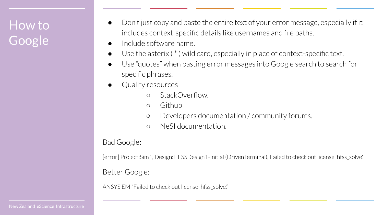## How to Google

- Don't just copy and paste the entire text of your error message, especially if it includes context-specific details like usernames and file paths.
- Include software name.
- $\bullet$  Use the asterix (\*) wild card, especially in place of context-specific text.
- Use "quotes" when pasting error messages into Google search to search for specific phrases.
- Quality resources
	- o StackOverflow.
	- Github
	- Developers documentation / community forums.
	- NeSI documentation.

#### Bad Google:

[error] Project:Sim1, Design:HFSSDesign1-Initial (DrivenTerminal), Failed to check out license 'hfss\_solve'.

#### Better Google:

ANSYS EM "Failed to check out license 'hfss\_solve!"